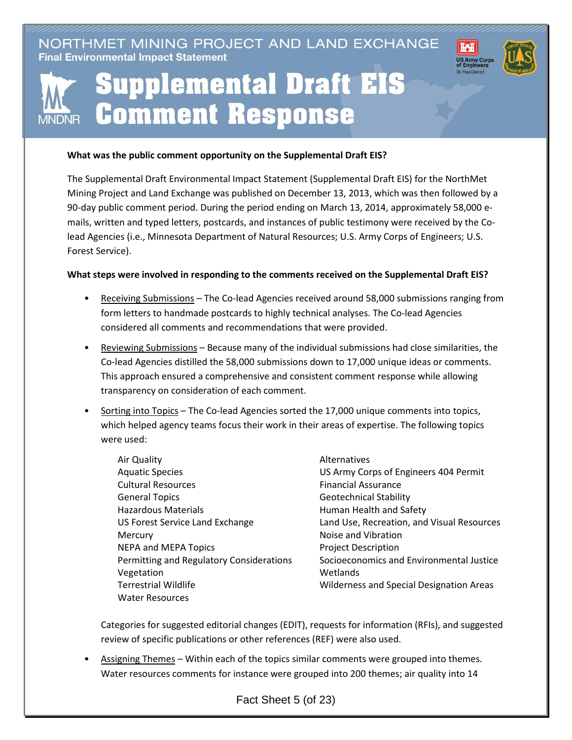NORTHMET MINING PROJECT AND LAND EXCHANGE **Final Environmental Impact Statement** 



## **MNDNR**

## **Supplemental Draft EIS Comment Response**

## **What was the public comment opportunity on the Supplemental Draft EIS?**

The Supplemental Draft Environmental Impact Statement (Supplemental Draft EIS) for the NorthMet Mining Project and Land Exchange was published on December 13, 2013, which was then followed by a 90-day public comment period. During the period ending on March 13, 2014, approximately 58,000 emails, written and typed letters, postcards, and instances of public testimony were received by the Colead Agencies (i.e., Minnesota Department of Natural Resources; U.S. Army Corps of Engineers; U.S. Forest Service).

## **What steps were involved in responding to the comments received on the Supplemental Draft EIS?**

- Receiving Submissions The Co-lead Agencies received around 58,000 submissions ranging from form letters to handmade postcards to highly technical analyses. The Co-lead Agencies considered all comments and recommendations that were provided.
- Reviewing Submissions Because many of the individual submissions had close similarities, the Co-lead Agencies distilled the 58,000 submissions down to 17,000 unique ideas or comments. This approach ensured a comprehensive and consistent comment response while allowing transparency on consideration of each comment.
- Sorting into Topics The Co-lead Agencies sorted the 17,000 unique comments into topics, which helped agency teams focus their work in their areas of expertise. The following topics were used:
	- Air Quality Aquatic Species Cultural Resources General Topics Hazardous Materials US Forest Service Land Exchange **Mercury** NEPA and MEPA Topics Permitting and Regulatory Considerations Vegetation Terrestrial Wildlife Water Resources
- Alternatives US Army Corps of Engineers 404 Permit Financial Assurance Geotechnical Stability Human Health and Safety Land Use, Recreation, and Visual Resources Noise and Vibration Project Description Socioeconomics and Environmental Justice Wetlands Wilderness and Special Designation Areas

Categories for suggested editorial changes (EDIT), requests for information (RFIs), and suggested review of specific publications or other references (REF) were also used.

• Assigning Themes – Within each of the topics similar comments were grouped into themes. Water resources comments for instance were grouped into 200 themes; air quality into 14